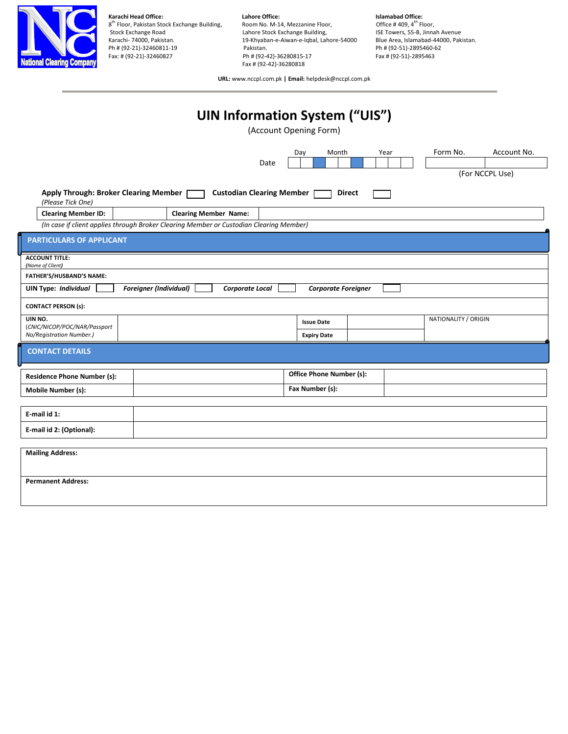

**Karachi Head Office: Lahore Office: Lahore Office: Islamabad Office: Islamabad Office:** *R***<sup>th</sup> Floor,** *Pakistan Stock Exchange Building,* **<b>Reportive:** *Room No. M-14, Mezzanine Floor, Partherse Office # 40* 8<sup>th</sup> Floor, Pakistan Stock Exchange Building, **Room No. M-14, Mezzanine Floor,** Soffice # 409, 4<sup>th</sup> Floor, Stock Exchange Road **Lahore Stock Exchange Building,** ISE Towers, 55-B, Jinnah Avenue<br>19-Khyaban-e-Aiwan-e-Iqbal, Lahore-54000 Blue Area, Islamabad-44000, Pakistan. 19-Khyaban-e-Aiwan-e-Iqbal, Lahore-54000 Blue Area, Islamabad-440<br>Pakistan. Pakistan. Pakistan. Pakistan. Pakistan. Ph # (92-21)-32460811-19 Pakistan. Pakistan. Ph # (92-21)-32460811-19 Pakistan. Ph # (92-51)-2895460-6<br>Ph # (92-21)-32460827 Ph # (92-42)-36280815-17 Pax # (92-51)-2895463 Ph # (92-42)-36280815-17 Fax # (92-42)-36280818

**URL:** www.nccpl.com.pk **| Email:** helpdesk@nccpl.com.pk

## **UIN Information System ("UIS")**

(Account Opening Form)

|                                                                                            | Date                                                                                    | Month<br>Day<br>Year       | Form No.<br>Account No.<br>(For NCCPL Use) |  |  |
|--------------------------------------------------------------------------------------------|-----------------------------------------------------------------------------------------|----------------------------|--------------------------------------------|--|--|
| Apply Through: Broker Clearing Member  <br>(Please Tick One)<br><b>Clearing Member ID:</b> | <b>Custodian Clearing Member</b><br><b>Clearing Member Name:</b>                        | <b>Direct</b>              |                                            |  |  |
|                                                                                            | (In case if client applies through Broker Clearing Member or Custodian Clearing Member) |                            |                                            |  |  |
| <b>PARTICULARS OF APPLICANT</b>                                                            |                                                                                         |                            |                                            |  |  |
| <b>ACCOUNT TITLE:</b><br>(Name of Client)                                                  |                                                                                         |                            |                                            |  |  |
| <b>FATHER'S/HUSBAND'S NAME:</b>                                                            |                                                                                         |                            |                                            |  |  |
| <b>UIN Type: Individual</b>                                                                | <b>Foreigner (Individual)</b><br>Corporate Local                                        | <b>Corporate Foreigner</b> |                                            |  |  |
| <b>CONTACT PERSON (s):</b>                                                                 |                                                                                         |                            |                                            |  |  |
| UIN NO.<br>(CNIC/NICOP/POC/NAR/Passport                                                    |                                                                                         | <b>Issue Date</b>          | NATIONALITY / ORIGIN                       |  |  |
| No/Registration Number.)                                                                   |                                                                                         | <b>Expiry Date</b>         |                                            |  |  |
| <b>CONTACT DETAILS</b>                                                                     |                                                                                         |                            |                                            |  |  |
|                                                                                            |                                                                                         |                            |                                            |  |  |
| <b>Residence Phone Number (s):</b>                                                         |                                                                                         | Office Phone Number (s):   |                                            |  |  |
| Mobile Number (s):                                                                         |                                                                                         | Fax Number (s):            |                                            |  |  |
|                                                                                            |                                                                                         |                            |                                            |  |  |
| E-mail id 1:                                                                               |                                                                                         |                            |                                            |  |  |
| E-mail id 2: (Optional):                                                                   |                                                                                         |                            |                                            |  |  |
|                                                                                            |                                                                                         |                            |                                            |  |  |
| <b>Mailing Address:</b>                                                                    |                                                                                         |                            |                                            |  |  |
|                                                                                            |                                                                                         |                            |                                            |  |  |
| <b>Permanent Address:</b>                                                                  |                                                                                         |                            |                                            |  |  |
|                                                                                            |                                                                                         |                            |                                            |  |  |